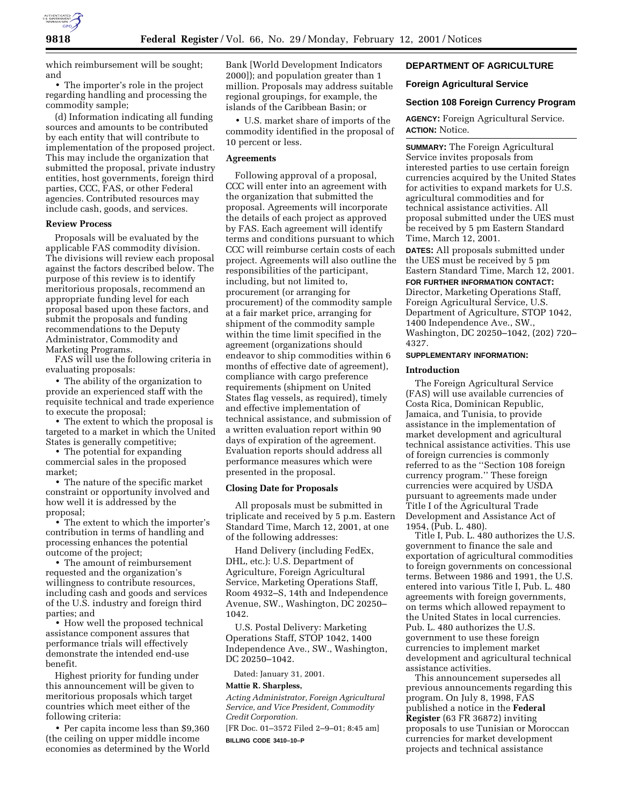

which reimbursement will be sought; and

• The importer's role in the project regarding handling and processing the commodity sample;

(d) Information indicating all funding sources and amounts to be contributed by each entity that will contribute to implementation of the proposed project. This may include the organization that submitted the proposal, private industry entities, host governments, foreign third parties, CCC, FAS, or other Federal agencies. Contributed resources may include cash, goods, and services.

### **Review Process**

Proposals will be evaluated by the applicable FAS commodity division. The divisions will review each proposal against the factors described below. The purpose of this review is to identify meritorious proposals, recommend an appropriate funding level for each proposal based upon these factors, and submit the proposals and funding recommendations to the Deputy Administrator, Commodity and Marketing Programs.

FAS will use the following criteria in evaluating proposals:

• The ability of the organization to provide an experienced staff with the requisite technical and trade experience to execute the proposal;

• The extent to which the proposal is targeted to a market in which the United States is generally competitive;

• The potential for expanding commercial sales in the proposed market;

• The nature of the specific market constraint or opportunity involved and how well it is addressed by the proposal;

• The extent to which the importer's contribution in terms of handling and processing enhances the potential outcome of the project;

• The amount of reimbursement requested and the organization's willingness to contribute resources, including cash and goods and services of the U.S. industry and foreign third parties; and

• How well the proposed technical assistance component assures that performance trials will effectively demonstrate the intended end-use benefit.

Highest priority for funding under this announcement will be given to meritorious proposals which target countries which meet either of the following criteria:

• Per capita income less than \$9,360 (the ceiling on upper middle income economies as determined by the World Bank [World Development Indicators 2000]); and population greater than 1 million. Proposals may address suitable regional groupings, for example, the islands of the Caribbean Basin; or

• U.S. market share of imports of the commodity identified in the proposal of 10 percent or less.

# **Agreements**

Following approval of a proposal, CCC will enter into an agreement with the organization that submitted the proposal. Agreements will incorporate the details of each project as approved by FAS. Each agreement will identify terms and conditions pursuant to which CCC will reimburse certain costs of each project. Agreements will also outline the responsibilities of the participant, including, but not limited to, procurement (or arranging for procurement) of the commodity sample at a fair market price, arranging for shipment of the commodity sample within the time limit specified in the agreement (organizations should endeavor to ship commodities within 6 months of effective date of agreement), compliance with cargo preference requirements (shipment on United States flag vessels, as required), timely and effective implementation of technical assistance, and submission of a written evaluation report within 90 days of expiration of the agreement. Evaluation reports should address all performance measures which were presented in the proposal.

### **Closing Date for Proposals**

All proposals must be submitted in triplicate and received by 5 p.m. Eastern Standard Time, March 12, 2001, at one of the following addresses:

Hand Delivery (including FedEx, DHL, etc.): U.S. Department of Agriculture, Foreign Agricultural Service, Marketing Operations Staff, Room 4932–S, 14th and Independence Avenue, SW., Washington, DC 20250– 1042.

U.S. Postal Delivery: Marketing Operations Staff, STOP 1042, 1400 Independence Ave., SW., Washington, DC 20250–1042.

Dated: January 31, 2001.

# **Mattie R. Sharpless,**

*Acting Administrator, Foreign Agricultural Service, and Vice President, Commodity Credit Corporation.*

[FR Doc. 01–3572 Filed 2–9–01; 8:45 am] **BILLING CODE 3410–10–P**

# **DEPARTMENT OF AGRICULTURE**

## **Foreign Agricultural Service**

### **Section 108 Foreign Currency Program**

**AGENCY:** Foreign Agricultural Service. **ACTION:** Notice.

**SUMMARY:** The Foreign Agricultural Service invites proposals from interested parties to use certain foreign currencies acquired by the United States for activities to expand markets for U.S. agricultural commodities and for technical assistance activities. All proposal submitted under the UES must be received by 5 pm Eastern Standard Time, March 12, 2001.

**DATES:** All proposals submitted under the UES must be received by 5 pm Eastern Standard Time, March 12, 2001.

### **FOR FURTHER INFORMATION CONTACT:**

Director, Marketing Operations Staff, Foreign Agricultural Service, U.S. Department of Agriculture, STOP 1042, 1400 Independence Ave., SW., Washington, DC 20250–1042, (202) 720– 4327.

### **SUPPLEMENTARY INFORMATION:**

### **Introduction**

The Foreign Agricultural Service (FAS) will use available currencies of Costa Rica, Dominican Republic, Jamaica, and Tunisia, to provide assistance in the implementation of market development and agricultural technical assistance activities. This use of foreign currencies is commonly referred to as the ''Section 108 foreign currency program.'' These foreign currencies were acquired by USDA pursuant to agreements made under Title I of the Agricultural Trade Development and Assistance Act of 1954, (Pub. L. 480).

Title I, Pub. L. 480 authorizes the U.S. government to finance the sale and exportation of agricultural commodities to foreign governments on concessional terms. Between 1986 and 1991, the U.S. entered into various Title I, Pub. L. 480 agreements with foreign governments, on terms which allowed repayment to the United States in local currencies. Pub. L. 480 authorizes the U.S. government to use these foreign currencies to implement market development and agricultural technical assistance activities.

This announcement supersedes all previous announcements regarding this program. On July 8, 1998, FAS published a notice in the **Federal Register** (63 FR 36872) inviting proposals to use Tunisian or Moroccan currencies for market development projects and technical assistance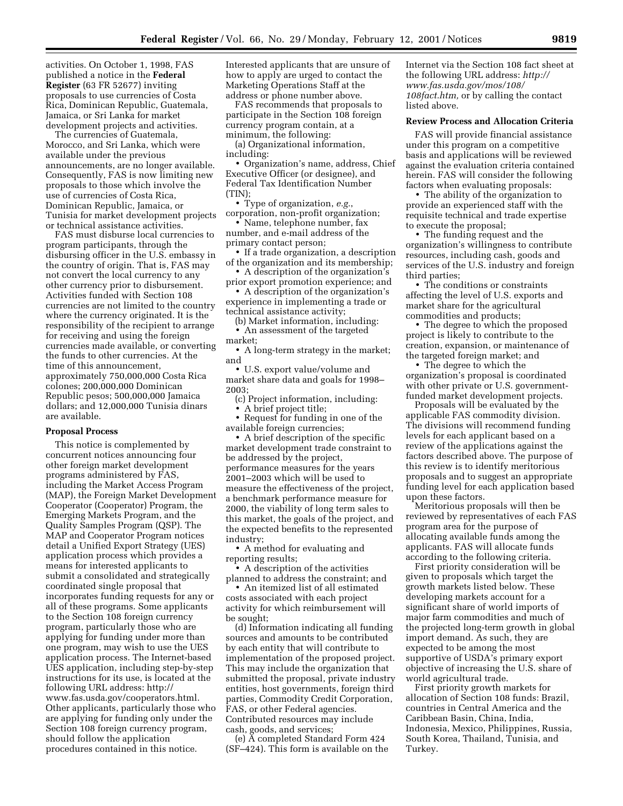activities. On October 1, 1998, FAS published a notice in the **Federal Register** (63 FR 52677) inviting proposals to use currencies of Costa Rica, Dominican Republic, Guatemala, Jamaica, or Sri Lanka for market development projects and activities.

The currencies of Guatemala, Morocco, and Sri Lanka, which were available under the previous announcements, are no longer available. Consequently, FAS is now limiting new proposals to those which involve the use of currencies of Costa Rica, Dominican Republic, Jamaica, or Tunisia for market development projects or technical assistance activities.

FAS must disburse local currencies to program participants, through the disbursing officer in the U.S. embassy in the country of origin. That is, FAS may not convert the local currency to any other currency prior to disbursement. Activities funded with Section 108 currencies are not limited to the country where the currency originated. It is the responsibility of the recipient to arrange for receiving and using the foreign currencies made available, or converting the funds to other currencies. At the time of this announcement, approximately 750,000,000 Costa Rica colones; 200,000,000 Dominican Republic pesos; 500,000,000 Jamaica dollars; and 12,000,000 Tunisia dinars are available.

#### **Proposal Process**

This notice is complemented by concurrent notices announcing four other foreign market development programs administered by FAS, including the Market Access Program (MAP), the Foreign Market Development Cooperator (Cooperator) Program, the Emerging Markets Program, and the Quality Samples Program (QSP). The MAP and Cooperator Program notices detail a Unified Export Strategy (UES) application process which provides a means for interested applicants to submit a consolidated and strategically coordinated single proposal that incorporates funding requests for any or all of these programs. Some applicants to the Section 108 foreign currency program, particularly those who are applying for funding under more than one program, may wish to use the UES application process. The Internet-based UES application, including step-by-step instructions for its use, is located at the following URL address: http:// www.fas.usda.gov/cooperators.html. Other applicants, particularly those who are applying for funding only under the Section 108 foreign currency program, should follow the application procedures contained in this notice.

Interested applicants that are unsure of how to apply are urged to contact the Marketing Operations Staff at the address or phone number above.

FAS recommends that proposals to participate in the Section 108 foreign currency program contain, at a minimum, the following:

(a) Organizational information, including:

• Organization's name, address, Chief Executive Officer (or designee), and Federal Tax Identification Number (TIN);

• Type of organization, *e.g.*, corporation, non-profit organization;

• Name, telephone number, fax number, and e-mail address of the primary contact person;

• If a trade organization, a description of the organization and its membership;

• A description of the organization's prior export promotion experience; and

• A description of the organization's experience in implementing a trade or technical assistance activity;

(b) Market information, including: • An assessment of the targeted

market;

• A long-term strategy in the market; and

• U.S. export value/volume and market share data and goals for 1998– 2003;

(c) Project information, including: • A brief project title;

• Request for funding in one of the available foreign currencies;

• A brief description of the specific market development trade constraint to be addressed by the project, performance measures for the years 2001–2003 which will be used to measure the effectiveness of the project, a benchmark performance measure for 2000, the viability of long term sales to this market, the goals of the project, and the expected benefits to the represented industry;

• A method for evaluating and reporting results;

• A description of the activities planned to address the constraint; and

• An itemized list of all estimated costs associated with each project activity for which reimbursement will be sought;

(d) Information indicating all funding sources and amounts to be contributed by each entity that will contribute to implementation of the proposed project. This may include the organization that submitted the proposal, private industry entities, host governments, foreign third parties, Commodity Credit Corporation, FAS, or other Federal agencies. Contributed resources may include cash, goods, and services;

(e) A completed Standard Form 424 (SF–424). This form is available on the Internet via the Section 108 fact sheet at the following URL address: *http:// www.fas.usda.gov/mos/108/ 108fact.htm,* or by calling the contact listed above.

### **Review Process and Allocation Criteria**

FAS will provide financial assistance under this program on a competitive basis and applications will be reviewed against the evaluation criteria contained herein. FAS will consider the following factors when evaluating proposals:

• The ability of the organization to provide an experienced staff with the requisite technical and trade expertise to execute the proposal;

• The funding request and the organization's willingness to contribute resources, including cash, goods and services of the U.S. industry and foreign third parties;

• The conditions or constraints affecting the level of U.S. exports and market share for the agricultural commodities and products;

• The degree to which the proposed project is likely to contribute to the creation, expansion, or maintenance of the targeted foreign market; and

• The degree to which the organization's proposal is coordinated with other private or U.S. governmentfunded market development projects.

Proposals will be evaluated by the applicable FAS commodity division. The divisions will recommend funding levels for each applicant based on a review of the applications against the factors described above. The purpose of this review is to identify meritorious proposals and to suggest an appropriate funding level for each application based upon these factors.

Meritorious proposals will then be reviewed by representatives of each FAS program area for the purpose of allocating available funds among the applicants. FAS will allocate funds according to the following criteria.

First priority consideration will be given to proposals which target the growth markets listed below. These developing markets account for a significant share of world imports of major farm commodities and much of the projected long-term growth in global import demand. As such, they are expected to be among the most supportive of USDA's primary export objective of increasing the U.S. share of world agricultural trade.

First priority growth markets for allocation of Section 108 funds: Brazil, countries in Central America and the Caribbean Basin, China, India, Indonesia, Mexico, Philippines, Russia, South Korea, Thailand, Tunisia, and Turkey.